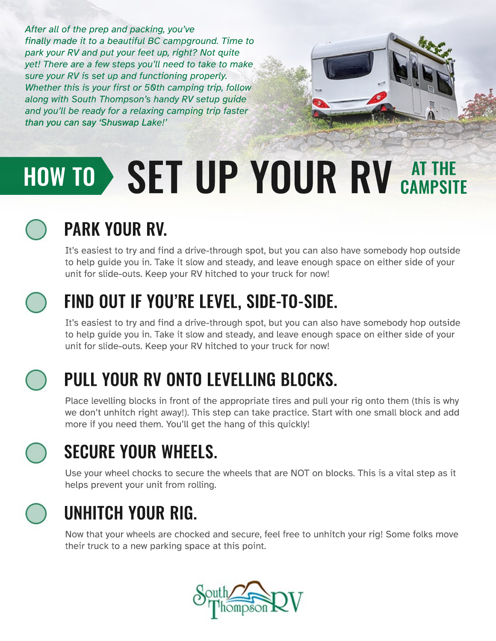*After all of the prep and packing, you've finally made it to a beautiful BC campground. Time to park your RV and put your feet up, right? Not quite yet! There are a few steps you'll need to take to make sure your RV is set up and functioning properly. Whether this is your first or 50th camping trip, follow along with South Thompson's handy RV setup guide and you'll be ready for a relaxing camping trip faster than you can say 'Shuswap La Lake!'*

# HOW TO SET UP YOUR RV AT THE

## PARK YOUR RV.

It's easiest to try and find a drive-through spot, but you can also have somebody hop outside to help guide you in. Take it slow and steady, and leave enough space on either side of your unit for slide-outs. Keep your RV hitched to your truck for now!



#### FIND OUT IF YOU'RE LEVEL, SIDE-TO-SIDE.

It's easiest to try and find a drive-through spot, but you can also have somebody hop outside to help guide you in. Take it slow and steady, and leave enough space on either side of your unit for slide-outs. Keep your RV hitched to your truck for now!



#### PULL YOUR RV ONTO LEVELLING BLOCKS.

Place levelling blocks in front of the appropriate tires and pull your rig onto them (this is why we don't unhitch right away!). This step can take practice. Start with one small block and add more if you need them. You'll get the hang of this quickly!



#### SECURE YOUR WHEELS.

Use your wheel chocks to secure the wheels that are NOT on blocks. This is a vital step as it helps prevent your unit from rolling.



#### UNHITCH YOUR RIG.

Now that your wheels are chocked and secure, feel free to unhitch your rig! Some folks move their truck to a new parking space at this point.

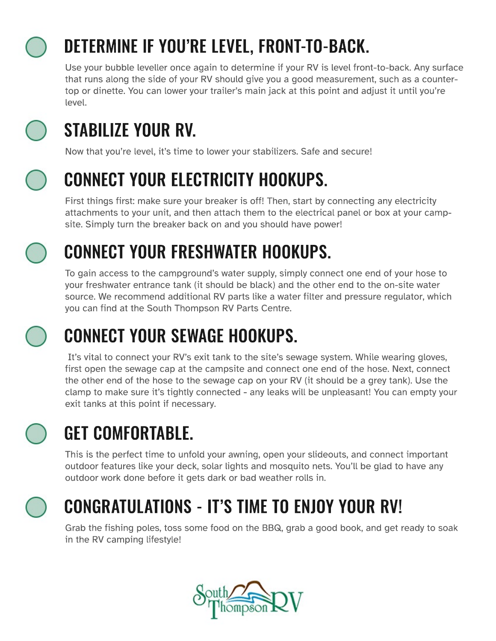

## DETERMINE IF YOU'RE LEVEL, FRONT-TO-BACK.

Use your bubble leveller once again to determine if your RV is level front-to-back. Any surface that runs along the side of your RV should give you a good measurement, such as a countertop or dinette. You can lower your trailer's main jack at this point and adjust it until you're level.



## STABILIZE YOUR RV.

Now that you're level, it's time to lower your stabilizers. Safe and secure!



#### CONNECT YOUR ELECTRICITY HOOKUPS.

First things first: make sure your breaker is off! Then, start by connecting any electricity attachments to your unit, and then attach them to the electrical panel or box at your campsite. Simply turn the breaker back on and you should have power!



# CONNECT YOUR FRESHWATER HOOKUPS.

To gain access to the campground's water supply, simply connect one end of your hose to your freshwater entrance tank (it should be black) and the other end to the on-site water source. We recommend additional RV parts like a water filter and pressure regulator, which you can find at the South Thompson RV Parts Centre.

## CONNECT YOUR SEWAGE HOOKUPS.

 It's vital to connect your RV's exit tank to the site's sewage system. While wearing gloves, first open the sewage cap at the campsite and connect one end of the hose. Next, connect the other end of the hose to the sewage cap on your RV (it should be a grey tank). Use the clamp to make sure it's tightly connected - any leaks will be unpleasant! You can empty your exit tanks at this point if necessary.

# GET COMFORTABLE.

This is the perfect time to unfold your awning, open your slideouts, and connect important outdoor features like your deck, solar lights and mosquito nets. You'll be glad to have any outdoor work done before it gets dark or bad weather rolls in.



## CONGRATULATIONS - IT'S TIME TO ENJOY YOUR RV!

Grab the fishing poles, toss some food on the BBQ, grab a good book, and get ready to soak in the RV camping lifestyle!